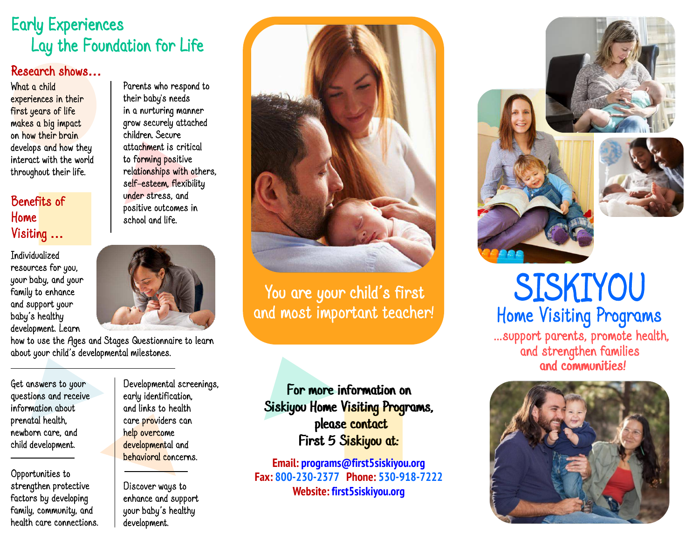## *Lay the Foundation for Life the Early Experiences Early Experiences*

#### Research shows… Research

*What a child experiences in their first years of life makes a big impact on how their brain develops and how they interact with the world throughout their life.* 

### *Benefits of Home*  Visiting …

*Individualized resources for you, your baby, and your family to enhance and support your*  baby's healthy *development. Learn* 



*Parents who respond to their baby's needs in a nurturing manner grow securely attached children. Secure attachment is critical to forming positive relationships with others, self-esteem, flexibility under stress, and positive outcomes in school and life.* 

*how to use the Ages and Stages Questionnaire to learn*  about your child's developmental milestones.

*Get answers to your questions and receive information about prenatal health, newborn care, and child development.* 

*Opportunities to strengthen protective factors by developing family, community, and health care connections.*  *Developmental screenings, early identification, and links to health care providers can help overcome developmental and behavioral concerns.* 

*Discover ways to enhance and support*  your baby's healthy *development.* 



You are your child's first

*For more information on For more information on Siskiyou Home Visiting Programs, Siskiyou Home Visiting Programs, please contact please contact First 5 Siskiyou at: First 5 Siskiyou at:* 

**Email: programs@first5siskiyou.org Fax: 800-230-2377 Phone: 530-918-7222 Website: first5siskiyou.org** 



*...support parents, promote health, SISKIYOU SISKIYOU*  and most important teacher!<br>
and most important teacher!<br>
and strengthen families<br>
and strengthen families *and strengthen families and communities! and communities!*